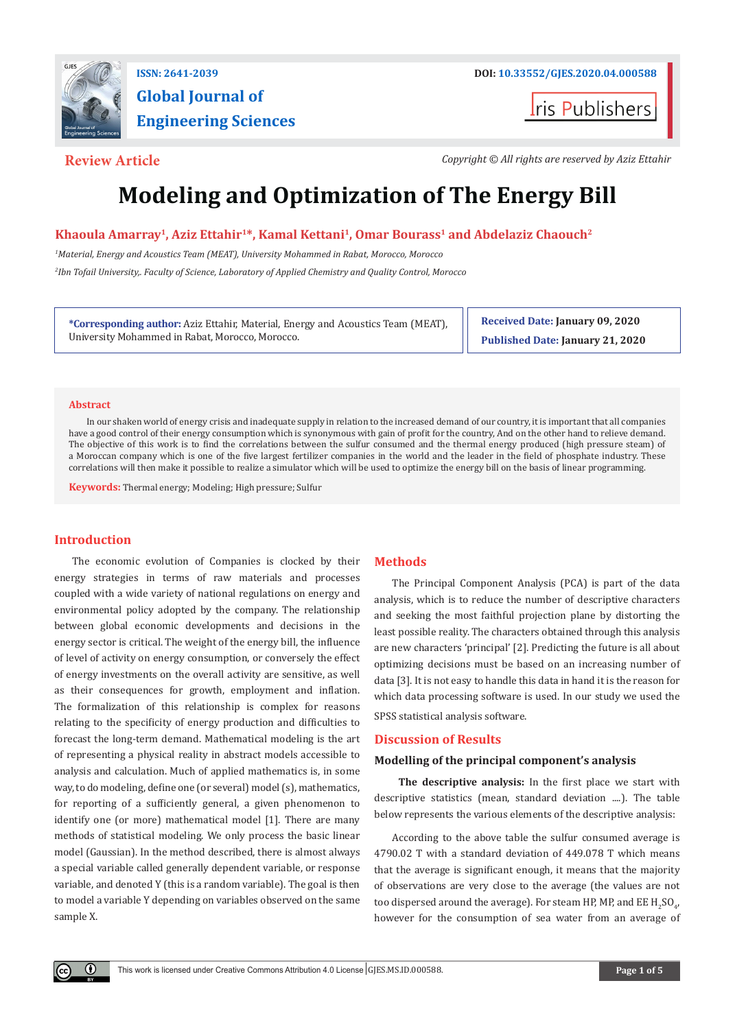

# **Global Journal of Engineering Sciences**

**t**ris Publishers

**Review Article** *Copyright © All rights are reserved by Aziz Ettahir*

## **Modeling and Optimization of The Energy Bill**

### Khaoula Amarray<sup>1</sup>, Aziz Ettahir<sup>1\*</sup>, Kamal Kettani<sup>1</sup>, Omar Bourass<sup>1</sup> and Abdelaziz Chaouch<sup>2</sup>

*1 Material, Energy and Acoustics Team (MEAT), University Mohammed in Rabat, Morocco, Morocco*

*2 Ibn Tofail University,. Faculty of Science, Laboratory of Applied Chemistry and Quality Control, Morocco*

**\*Corresponding author:** Aziz Ettahir, Material, Energy and Acoustics Team (MEAT), University Mohammed in Rabat, Morocco, Morocco.

**Received Date: January 09, 2020 Published Date: January 21, 2020**

#### **Abstract**

In our shaken world of energy crisis and inadequate supply in relation to the increased demand of our country, it is important that all companies have a good control of their energy consumption which is synonymous with gain of profit for the country, And on the other hand to relieve demand. The objective of this work is to find the correlations between the sulfur consumed and the thermal energy produced (high pressure steam) of a Moroccan company which is one of the five largest fertilizer companies in the world and the leader in the field of phosphate industry. These correlations will then make it possible to realize a simulator which will be used to optimize the energy bill on the basis of linear programming.

**Keywords:** Thermal energy; Modeling; High pressure; Sulfur

#### **Introduction**

O.

The economic evolution of Companies is clocked by their energy strategies in terms of raw materials and processes coupled with a wide variety of national regulations on energy and environmental policy adopted by the company. The relationship between global economic developments and decisions in the energy sector is critical. The weight of the energy bill, the influence of level of activity on energy consumption, or conversely the effect of energy investments on the overall activity are sensitive, as well as their consequences for growth, employment and inflation. The formalization of this relationship is complex for reasons relating to the specificity of energy production and difficulties to forecast the long-term demand. Mathematical modeling is the art of representing a physical reality in abstract models accessible to analysis and calculation. Much of applied mathematics is, in some way, to do modeling, define one (or several) model (s), mathematics, for reporting of a sufficiently general, a given phenomenon to identify one (or more) mathematical model [1]. There are many methods of statistical modeling. We only process the basic linear model (Gaussian). In the method described, there is almost always a special variable called generally dependent variable, or response variable, and denoted Y (this is a random variable). The goal is then to model a variable Y depending on variables observed on the same sample X.

#### **Methods**

The Principal Component Analysis (PCA) is part of the data analysis, which is to reduce the number of descriptive characters and seeking the most faithful projection plane by distorting the least possible reality. The characters obtained through this analysis are new characters 'principal' [2]. Predicting the future is all about optimizing decisions must be based on an increasing number of data [3]. It is not easy to handle this data in hand it is the reason for which data processing software is used. In our study we used the SPSS statistical analysis software.

#### **Discussion of Results**

#### **Modelling of the principal component's analysis**

 **The descriptive analysis:** In the first place we start with descriptive statistics (mean, standard deviation ....). The table below represents the various elements of the descriptive analysis:

According to the above table the sulfur consumed average is 4790.02 T with a standard deviation of 449.078 T which means that the average is significant enough, it means that the majority of observations are very close to the average (the values are not too dispersed around the average). For steam HP, MP, and EE  $\rm{H}_{2}SO_{4'}$ however for the consumption of sea water from an average of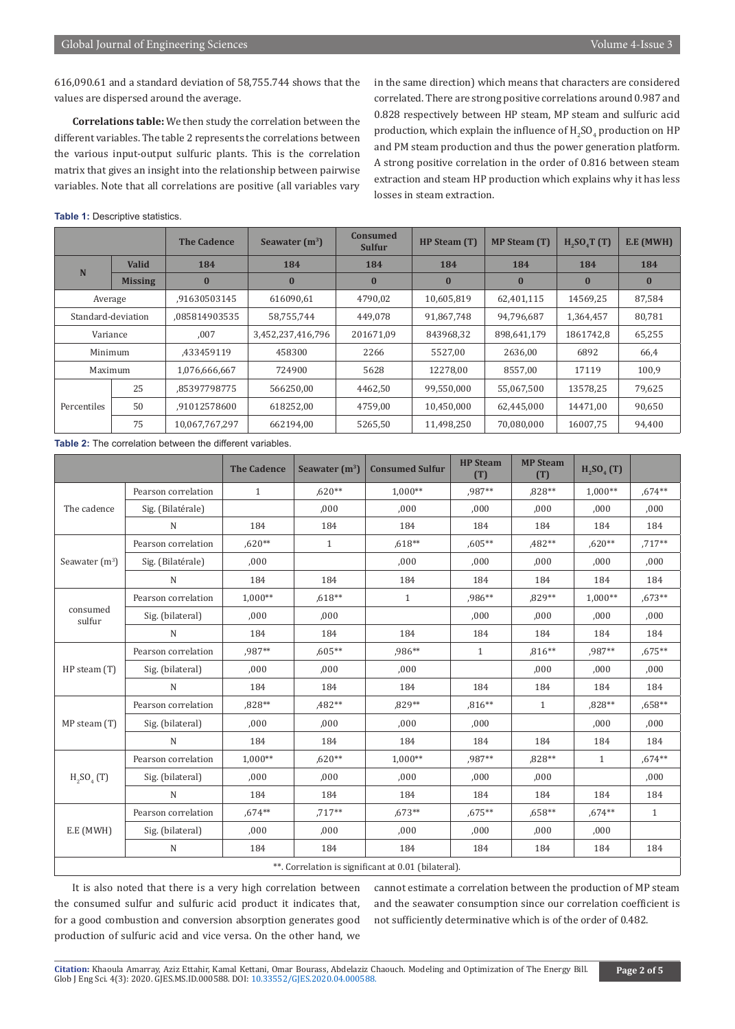616,090.61 and a standard deviation of 58,755.744 shows that the values are dispersed around the average.

**Correlations table:** We then study the correlation between the different variables. The table 2 represents the correlations between the various input-output sulfuric plants. This is the correlation matrix that gives an insight into the relationship between pairwise variables. Note that all correlations are positive (all variables vary in the same direction) which means that characters are considered correlated. There are strong positive correlations around 0.987 and 0.828 respectively between HP steam, MP steam and sulfuric acid production, which explain the influence of  $\rm{H_2SO_4}$  production on HP and PM steam production and thus the power generation platform. A strong positive correlation in the order of 0.816 between steam extraction and steam HP production which explains why it has less losses in steam extraction.

**Table 1:** Descriptive statistics.

|                    |                                                                             | <b>The Cadence</b>                                     | Seawater $(m^3)$  | <b>Consumed</b><br><b>Sulfur</b> | HP Steam (T) | <b>MP Steam (T)</b> | H <sub>2</sub> SO <sub>4</sub> T(T) | E.E (MWH) |
|--------------------|-----------------------------------------------------------------------------|--------------------------------------------------------|-------------------|----------------------------------|--------------|---------------------|-------------------------------------|-----------|
| N                  | <b>Valid</b>                                                                | 184                                                    | 184               | 184                              | 184          | 184                 | 184                                 | 184       |
|                    | <b>Missing</b>                                                              | $\bf{0}$                                               | $\bf{0}$          | $\bf{0}$                         | $\bf{0}$     | $\bf{0}$            | $\bf{0}$                            | $\bf{0}$  |
|                    | 616090,61<br>.91630503145<br>4790,02<br>10,605,819<br>62,401,115<br>Average |                                                        | 14569,25          | 87,584                           |              |                     |                                     |           |
| Standard-deviation |                                                                             | .085814903535                                          | 58,755,744        | 449.078                          | 91,867,748   | 94.796.687          | 1,364,457                           | 80,781    |
| Variance           |                                                                             | ,007                                                   | 3,452,237,416,796 | 201671,09                        | 843968,32    | 898,641,179         | 1861742,8                           | 65,255    |
| Minimum            |                                                                             | ,433459119                                             | 458300            | 2266                             | 5527,00      | 2636,00             | 6892                                | 66,4      |
| Maximum            |                                                                             | 5628<br>8557,00<br>12278,00<br>1,076,666,667<br>724900 |                   | 17119                            | 100,9        |                     |                                     |           |
| Percentiles        | 25                                                                          | .85397798775                                           | 566250,00         | 4462,50                          | 99,550,000   | 55,067,500          | 13578.25                            | 79,625    |
|                    | 50                                                                          | .91012578600                                           | 618252.00         | 4759,00                          | 10,450,000   | 62.445.000          | 14471.00                            | 90,650    |
|                    | 75                                                                          | 10,067,767,297                                         | 662194.00         | 5265,50                          | 11,498,250   | 70.080.000          | 16007.75                            | 94,400    |

**Table 2:** The correlation between the different variables.

|                    |                     | <b>The Cadence</b> | Seawater $(m^3)$ | <b>Consumed Sulfur</b>                              | <b>HP</b> Steam<br>(T) | <b>MP Steam</b><br>(T) | $H_{2}SO_{4} (T)$                                                                                                     |              |
|--------------------|---------------------|--------------------|------------------|-----------------------------------------------------|------------------------|------------------------|-----------------------------------------------------------------------------------------------------------------------|--------------|
|                    | Pearson correlation | $\mathbf{1}$       | ,620**           | $1.000**$                                           | ,987**                 | $,828**$               | 1,000**                                                                                                               | $,674**$     |
| The cadence        | Sig. (Bilatérale)   |                    | .000             | .000                                                | ,000                   | ,000                   | ,000                                                                                                                  | ,000         |
|                    | $\mathbf N$         | 184                | 184              | 184                                                 | 184                    | 184                    | 184                                                                                                                   | 184          |
|                    | Pearson correlation | $.620**$           | $\mathbf{1}$     | $.618**$                                            | $.605**$               | ,482**                 | $.620**$                                                                                                              | $,717**$     |
| Seawater $(m^3)$   | Sig. (Bilatérale)   | ,000               |                  | ,000                                                | ,000                   | ,000                   | ,000                                                                                                                  | ,000         |
|                    | N                   | 184                | 184              | 184                                                 | 184                    | 184                    | 184                                                                                                                   | 184          |
|                    | Pearson correlation | $1.000**$          | $,618**$         | $\mathbf{1}$                                        | ,986**                 | ,829**                 | $1,000**$<br>,000<br>184<br>,987**<br>,000<br>184<br>,828**<br>.000<br>184<br>$\mathbf{1}$<br>184<br>$,674**$<br>,000 | $,673**$     |
| consumed<br>sulfur | Sig. (bilateral)    | .000               | .000             |                                                     | .000                   | .000                   |                                                                                                                       | ,000         |
|                    | ${\bf N}$           | 184                | 184              | 184                                                 | 184                    | 184                    |                                                                                                                       | 184          |
|                    | Pearson correlation | .987**             | $.605**$         | ,986**                                              | 1                      | ,816**                 |                                                                                                                       | ,675**       |
| $HP$ steam $(T)$   | Sig. (bilateral)    | 000,               | ,000             | ,000                                                |                        | ,000                   |                                                                                                                       | ,000         |
|                    | N                   | 184                | 184              | 184                                                 | 184                    | 184                    |                                                                                                                       | 184          |
|                    | Pearson correlation | .828**             | $,482**$         | $.829**$                                            | $,816**$               | $\mathbf{1}$           |                                                                                                                       | $,658**$     |
| MP steam (T)       | Sig. (bilateral)    | ,000               | .000             | .000                                                | .000                   |                        |                                                                                                                       | ,000         |
|                    | N                   | 184                | 184              | 184                                                 | 184                    | 184                    |                                                                                                                       | 184          |
|                    | Pearson correlation | $1.000**$          | $.620**$         | $1.000**$                                           | .987**                 | .828**                 | 184                                                                                                                   | $.674**$     |
| $H_2SO_4(T)$       | Sig. (bilateral)    | ,000               | ,000             | ,000                                                | ,000                   | ,000                   |                                                                                                                       | ,000         |
|                    | $\mathbf N$         | 184                | 184              | 184                                                 | 184                    | 184                    |                                                                                                                       | 184          |
|                    | Pearson correlation | $,674**$           | $,717**$         | $.673**$                                            | $,675**$               | $,658**$               |                                                                                                                       | $\mathbf{1}$ |
| E.E (MWH)          | Sig. (bilateral)    | ,000               | .000             | ,000                                                | ,000                   | ,000                   |                                                                                                                       |              |
|                    | N                   | 184                | 184              | 184                                                 | 184                    | 184                    |                                                                                                                       | 184          |
|                    |                     |                    |                  | **. Correlation is significant at 0.01 (bilateral). |                        |                        |                                                                                                                       |              |

It is also noted that there is a very high correlation between the consumed sulfur and sulfuric acid product it indicates that, for a good combustion and conversion absorption generates good production of sulfuric acid and vice versa. On the other hand, we

cannot estimate a correlation between the production of MP steam and the seawater consumption since our correlation coefficient is not sufficiently determinative which is of the order of 0.482.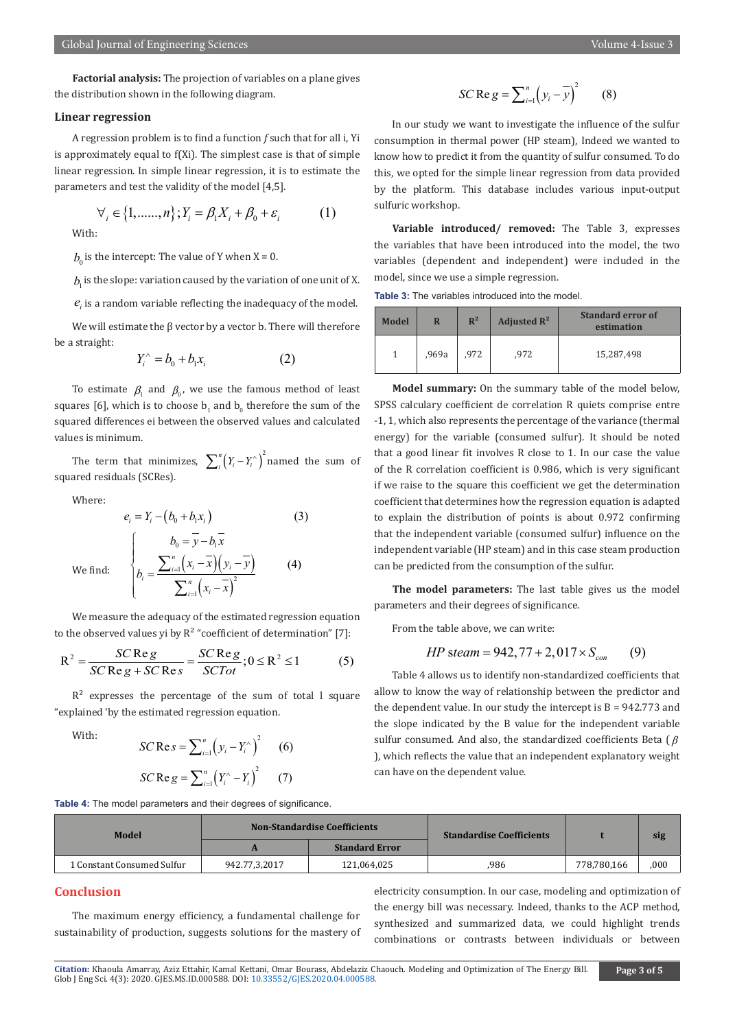#### **Linear regression**

A regression problem is to find a function *f* such that for all i, Yi is approximately equal to f(Xi). The simplest case is that of simple linear regression. In simple linear regression, it is to estimate the parameters and test the validity of the model [4,5].

$$
\forall_{i} \in \{1, \dots, n\}; Y_{i} = \beta_{1}X_{i} + \beta_{0} + \varepsilon_{i} \tag{1}
$$

With:

 $b_0$  is the intercept: The value of Y when X = 0.

 $b<sub>i</sub>$  is the slope: variation caused by the variation of one unit of X.

 $e_i$  is a random variable reflecting the inadequacy of the model.

We will estimate the  $β$  vector by a vector b. There will therefore be a straight:

$$
Y_i^{\wedge} = b_0 + b_1 x_i \tag{2}
$$

To estimate  $\beta_1$  and  $\beta_0$ , we use the famous method of least squares [6], which is to choose  ${\mathsf b}_1$  and  ${\mathsf b}_0$  therefore the sum of the squared differences ei between the observed values and calculated values is minimum.

The term that minimizes,  $\sum_{i}^{n} (Y_i - Y_i^{\wedge})^2$  named the sum of squared residuals (SCRes).

Where:

$$
e_i = Y_i - (b_0 + b_1 x_i)
$$
(3)  
We find: 
$$
\begin{cases} b_0 = \overline{y} - b_1 \overline{x} \\ b_i = \frac{\sum_{i=1}^n (x_i - \overline{x})(y_i - \overline{y})}{\sum_{i=1}^n (x_i - \overline{x})^2} \end{cases}
$$
(4)

We measure the adequacy of the estimated regression equation to the observed values yi by  $R^2$  "coefficient of determination" [7]:

$$
R^{2} = \frac{SC \operatorname{Re} g}{SC \operatorname{Re} g + SC \operatorname{Re} s} = \frac{SC \operatorname{Re} g}{SC \operatorname{Tr} t}; 0 \leq R^{2} \leq 1
$$
 (5)

 $R<sup>2</sup>$  expresses the percentage of the sum of total l square "explained 'by the estimated regression equation.

With:  
\n
$$
SC \text{Re} s = \sum_{i=1}^{n} (y_i - Y_i^{\wedge})^2
$$
 (6)  
\n
$$
SC \text{Re} g = \sum_{i=1}^{n} (Y_i^{\wedge} - Y_i)^2
$$
 (7)

 $\sqrt{2}$ 

**Table 4:** The model parameters and their degrees of significance.

$$
SC \operatorname{Re} g = \sum_{i=1}^{n} \left( y_i - \overline{y} \right)^2 \qquad (8)
$$

In our study we want to investigate the influence of the sulfur consumption in thermal power (HP steam), Indeed we wanted to know how to predict it from the quantity of sulfur consumed. To do this, we opted for the simple linear regression from data provided by the platform. This database includes various input-output sulfuric workshop.

**Variable introduced/ removed:** The Table 3, expresses the variables that have been introduced into the model, the two variables (dependent and independent) were included in the model, since we use a simple regression.

**Table 3:** The variables introduced into the model.

| <b>Model</b> | R     | $\mathbb{R}^2$ | Adjusted $\mathbb{R}^2$ | <b>Standard error of</b><br>estimation |
|--------------|-------|----------------|-------------------------|----------------------------------------|
|              | ,969a | .972           | .972                    | 15,287,498                             |

**Model summary:** On the summary table of the model below, SPSS calculary coefficient de correlation R quiets comprise entre -1, 1, which also represents the percentage of the variance (thermal energy) for the variable (consumed sulfur). It should be noted that a good linear fit involves R close to 1. In our case the value of the R correlation coefficient is 0.986, which is very significant if we raise to the square this coefficient we get the determination coefficient that determines how the regression equation is adapted to explain the distribution of points is about 0.972 confirming that the independent variable (consumed sulfur) influence on the independent variable (HP steam) and in this case steam production can be predicted from the consumption of the sulfur.

**The model parameters:** The last table gives us the model parameters and their degrees of significance.

From the table above, we can write:

$$
HP\ stream = 942, 77 + 2, 017 \times S_{con} \tag{9}
$$

Table 4 allows us to identify non-standardized coefficients that allow to know the way of relationship between the predictor and the dependent value. In our study the intercept is  $B = 942.773$  and the slope indicated by the B value for the independent variable sulfur consumed. And also, the standardized coefficients Beta ( $\beta$ ), which reflects the value that an independent explanatory weight can have on the dependent value.

| Model                      |               | <b>Non-Standardise Coefficients</b> | <b>Standardise Coefficients</b> |             | sig  |
|----------------------------|---------------|-------------------------------------|---------------------------------|-------------|------|
|                            |               | <b>Standard Error</b>               |                                 |             |      |
| 1 Constant Consumed Sulfur | 942.77,3,2017 | 121,064,025                         | .986                            | 778,780,166 | ,000 |

#### **Conclusion**

The maximum energy efficiency, a fundamental challenge for sustainability of production, suggests solutions for the mastery of electricity consumption. In our case, modeling and optimization of the energy bill was necessary. Indeed, thanks to the ACP method, synthesized and summarized data, we could highlight trends combinations or contrasts between individuals or between

**Citation:** Khaoula Amarray, Aziz Ettahir, Kamal Ke[ttani, Omar Bourass, Abdelaziz C](http://dx.doi.org/10.33552/GJES.2020.04.000588)haouch. Modeling and Optimization of The Energy Bill. Glob J Eng Sci. 4(3): 2020. GJES.MS.ID.000588. DOI: 10.33552/GJES.2020.04.000588.